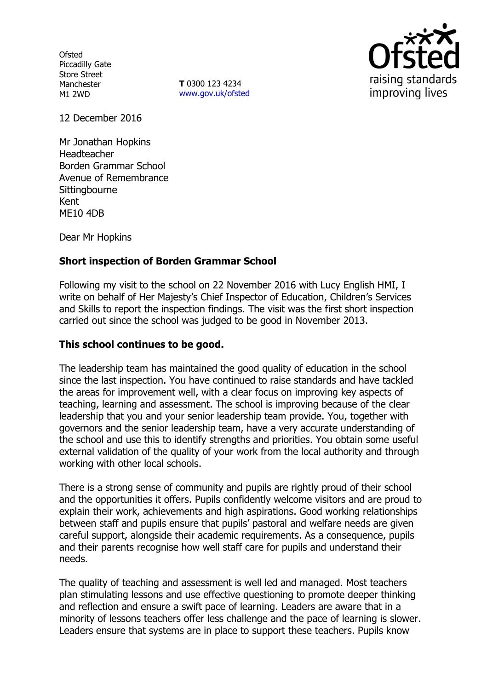**Ofsted** Piccadilly Gate Store Street Manchester M1 2WD

**T** 0300 123 4234 www.gov.uk/ofsted



12 December 2016

Mr Jonathan Hopkins Headteacher Borden Grammar School Avenue of Remembrance **Sittingbourne** Kent ME10 4DB

Dear Mr Hopkins

# **Short inspection of Borden Grammar School**

Following my visit to the school on 22 November 2016 with Lucy English HMI, I write on behalf of Her Majesty's Chief Inspector of Education, Children's Services and Skills to report the inspection findings. The visit was the first short inspection carried out since the school was judged to be good in November 2013.

## **This school continues to be good.**

The leadership team has maintained the good quality of education in the school since the last inspection. You have continued to raise standards and have tackled the areas for improvement well, with a clear focus on improving key aspects of teaching, learning and assessment. The school is improving because of the clear leadership that you and your senior leadership team provide. You, together with governors and the senior leadership team, have a very accurate understanding of the school and use this to identify strengths and priorities. You obtain some useful external validation of the quality of your work from the local authority and through working with other local schools.

There is a strong sense of community and pupils are rightly proud of their school and the opportunities it offers. Pupils confidently welcome visitors and are proud to explain their work, achievements and high aspirations. Good working relationships between staff and pupils ensure that pupils' pastoral and welfare needs are given careful support, alongside their academic requirements. As a consequence, pupils and their parents recognise how well staff care for pupils and understand their needs.

The quality of teaching and assessment is well led and managed. Most teachers plan stimulating lessons and use effective questioning to promote deeper thinking and reflection and ensure a swift pace of learning. Leaders are aware that in a minority of lessons teachers offer less challenge and the pace of learning is slower. Leaders ensure that systems are in place to support these teachers. Pupils know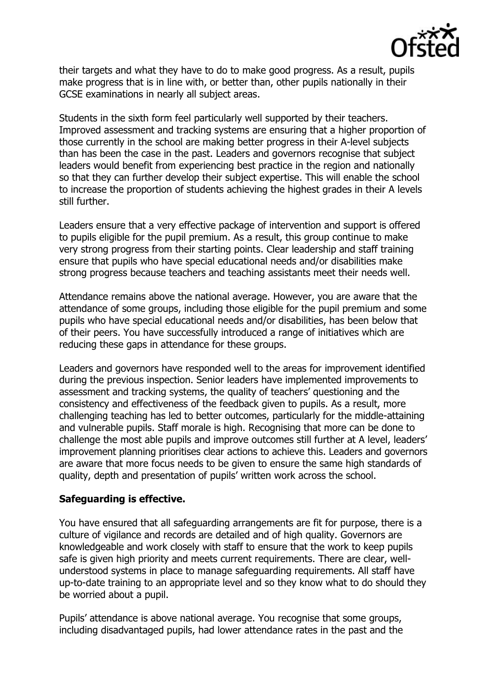

their targets and what they have to do to make good progress. As a result, pupils make progress that is in line with, or better than, other pupils nationally in their GCSE examinations in nearly all subject areas.

Students in the sixth form feel particularly well supported by their teachers. Improved assessment and tracking systems are ensuring that a higher proportion of those currently in the school are making better progress in their A-level subjects than has been the case in the past. Leaders and governors recognise that subject leaders would benefit from experiencing best practice in the region and nationally so that they can further develop their subject expertise. This will enable the school to increase the proportion of students achieving the highest grades in their A levels still further.

Leaders ensure that a very effective package of intervention and support is offered to pupils eligible for the pupil premium. As a result, this group continue to make very strong progress from their starting points. Clear leadership and staff training ensure that pupils who have special educational needs and/or disabilities make strong progress because teachers and teaching assistants meet their needs well.

Attendance remains above the national average. However, you are aware that the attendance of some groups, including those eligible for the pupil premium and some pupils who have special educational needs and/or disabilities, has been below that of their peers. You have successfully introduced a range of initiatives which are reducing these gaps in attendance for these groups.

Leaders and governors have responded well to the areas for improvement identified during the previous inspection. Senior leaders have implemented improvements to assessment and tracking systems, the quality of teachers' questioning and the consistency and effectiveness of the feedback given to pupils. As a result, more challenging teaching has led to better outcomes, particularly for the middle-attaining and vulnerable pupils. Staff morale is high. Recognising that more can be done to challenge the most able pupils and improve outcomes still further at A level, leaders' improvement planning prioritises clear actions to achieve this. Leaders and governors are aware that more focus needs to be given to ensure the same high standards of quality, depth and presentation of pupils' written work across the school.

#### **Safeguarding is effective.**

You have ensured that all safeguarding arrangements are fit for purpose, there is a culture of vigilance and records are detailed and of high quality. Governors are knowledgeable and work closely with staff to ensure that the work to keep pupils safe is given high priority and meets current requirements. There are clear, wellunderstood systems in place to manage safeguarding requirements. All staff have up-to-date training to an appropriate level and so they know what to do should they be worried about a pupil.

Pupils' attendance is above national average. You recognise that some groups, including disadvantaged pupils, had lower attendance rates in the past and the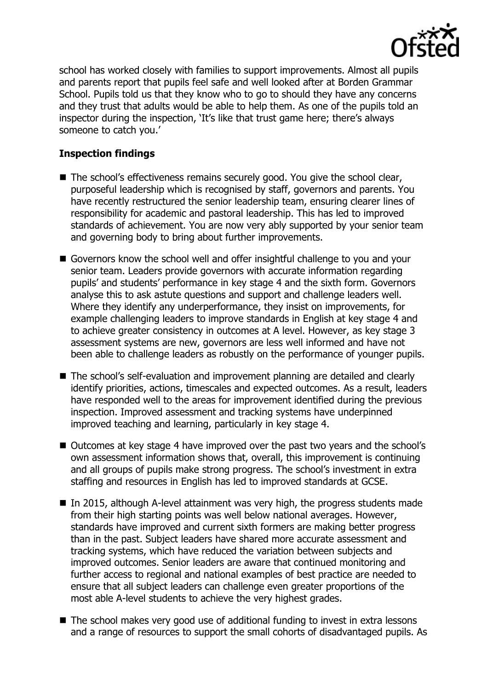

school has worked closely with families to support improvements. Almost all pupils and parents report that pupils feel safe and well looked after at Borden Grammar School. Pupils told us that they know who to go to should they have any concerns and they trust that adults would be able to help them. As one of the pupils told an inspector during the inspection, 'It's like that trust game here; there's always someone to catch you.'

# **Inspection findings**

- The school's effectiveness remains securely good. You give the school clear, purposeful leadership which is recognised by staff, governors and parents. You have recently restructured the senior leadership team, ensuring clearer lines of responsibility for academic and pastoral leadership. This has led to improved standards of achievement. You are now very ably supported by your senior team and governing body to bring about further improvements.
- Governors know the school well and offer insightful challenge to you and your senior team. Leaders provide governors with accurate information regarding pupils' and students' performance in key stage 4 and the sixth form. Governors analyse this to ask astute questions and support and challenge leaders well. Where they identify any underperformance, they insist on improvements, for example challenging leaders to improve standards in English at key stage 4 and to achieve greater consistency in outcomes at A level. However, as key stage 3 assessment systems are new, governors are less well informed and have not been able to challenge leaders as robustly on the performance of younger pupils.
- The school's self-evaluation and improvement planning are detailed and clearly identify priorities, actions, timescales and expected outcomes. As a result, leaders have responded well to the areas for improvement identified during the previous inspection. Improved assessment and tracking systems have underpinned improved teaching and learning, particularly in key stage 4.
- Outcomes at key stage 4 have improved over the past two years and the school's own assessment information shows that, overall, this improvement is continuing and all groups of pupils make strong progress. The school's investment in extra staffing and resources in English has led to improved standards at GCSE.
- In 2015, although A-level attainment was very high, the progress students made from their high starting points was well below national averages. However, standards have improved and current sixth formers are making better progress than in the past. Subject leaders have shared more accurate assessment and tracking systems, which have reduced the variation between subjects and improved outcomes. Senior leaders are aware that continued monitoring and further access to regional and national examples of best practice are needed to ensure that all subject leaders can challenge even greater proportions of the most able A-level students to achieve the very highest grades.
- The school makes very good use of additional funding to invest in extra lessons and a range of resources to support the small cohorts of disadvantaged pupils. As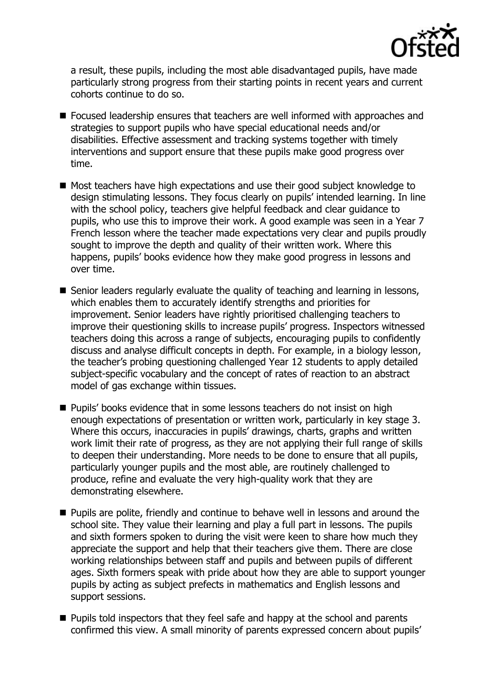

a result, these pupils, including the most able disadvantaged pupils, have made particularly strong progress from their starting points in recent years and current cohorts continue to do so.

- Focused leadership ensures that teachers are well informed with approaches and strategies to support pupils who have special educational needs and/or disabilities. Effective assessment and tracking systems together with timely interventions and support ensure that these pupils make good progress over time.
- Most teachers have high expectations and use their good subject knowledge to design stimulating lessons. They focus clearly on pupils' intended learning. In line with the school policy, teachers give helpful feedback and clear guidance to pupils, who use this to improve their work. A good example was seen in a Year 7 French lesson where the teacher made expectations very clear and pupils proudly sought to improve the depth and quality of their written work. Where this happens, pupils' books evidence how they make good progress in lessons and over time.
- Senior leaders regularly evaluate the quality of teaching and learning in lessons, which enables them to accurately identify strengths and priorities for improvement. Senior leaders have rightly prioritised challenging teachers to improve their questioning skills to increase pupils' progress. Inspectors witnessed teachers doing this across a range of subjects, encouraging pupils to confidently discuss and analyse difficult concepts in depth. For example, in a biology lesson, the teacher's probing questioning challenged Year 12 students to apply detailed subject-specific vocabulary and the concept of rates of reaction to an abstract model of gas exchange within tissues.
- **Pupils' books evidence that in some lessons teachers do not insist on high** enough expectations of presentation or written work, particularly in key stage 3. Where this occurs, inaccuracies in pupils' drawings, charts, graphs and written work limit their rate of progress, as they are not applying their full range of skills to deepen their understanding. More needs to be done to ensure that all pupils, particularly younger pupils and the most able, are routinely challenged to produce, refine and evaluate the very high-quality work that they are demonstrating elsewhere.
- **Pupils are polite, friendly and continue to behave well in lessons and around the** school site. They value their learning and play a full part in lessons. The pupils and sixth formers spoken to during the visit were keen to share how much they appreciate the support and help that their teachers give them. There are close working relationships between staff and pupils and between pupils of different ages. Sixth formers speak with pride about how they are able to support younger pupils by acting as subject prefects in mathematics and English lessons and support sessions.
- **Pupils told inspectors that they feel safe and happy at the school and parents** confirmed this view. A small minority of parents expressed concern about pupils'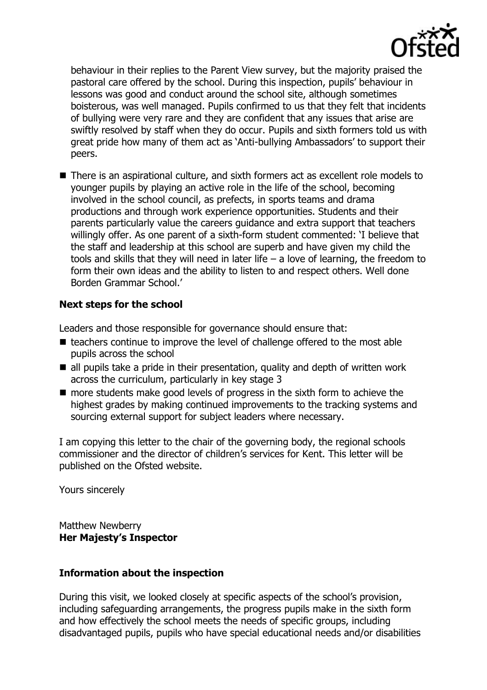

behaviour in their replies to the Parent View survey, but the majority praised the pastoral care offered by the school. During this inspection, pupils' behaviour in lessons was good and conduct around the school site, although sometimes boisterous, was well managed. Pupils confirmed to us that they felt that incidents of bullying were very rare and they are confident that any issues that arise are swiftly resolved by staff when they do occur. Pupils and sixth formers told us with great pride how many of them act as 'Anti-bullying Ambassadors' to support their peers.

■ There is an aspirational culture, and sixth formers act as excellent role models to younger pupils by playing an active role in the life of the school, becoming involved in the school council, as prefects, in sports teams and drama productions and through work experience opportunities. Students and their parents particularly value the careers guidance and extra support that teachers willingly offer. As one parent of a sixth-form student commented: 'I believe that the staff and leadership at this school are superb and have given my child the tools and skills that they will need in later life – a love of learning, the freedom to form their own ideas and the ability to listen to and respect others. Well done Borden Grammar School.'

# **Next steps for the school**

Leaders and those responsible for governance should ensure that:

- $\blacksquare$  teachers continue to improve the level of challenge offered to the most able pupils across the school
- $\blacksquare$  all pupils take a pride in their presentation, quality and depth of written work across the curriculum, particularly in key stage 3
- more students make good levels of progress in the sixth form to achieve the highest grades by making continued improvements to the tracking systems and sourcing external support for subject leaders where necessary.

I am copying this letter to the chair of the governing body, the regional schools commissioner and the director of children's services for Kent. This letter will be published on the Ofsted website.

Yours sincerely

Matthew Newberry **Her Majesty's Inspector**

## **Information about the inspection**

During this visit, we looked closely at specific aspects of the school's provision, including safeguarding arrangements, the progress pupils make in the sixth form and how effectively the school meets the needs of specific groups, including disadvantaged pupils, pupils who have special educational needs and/or disabilities